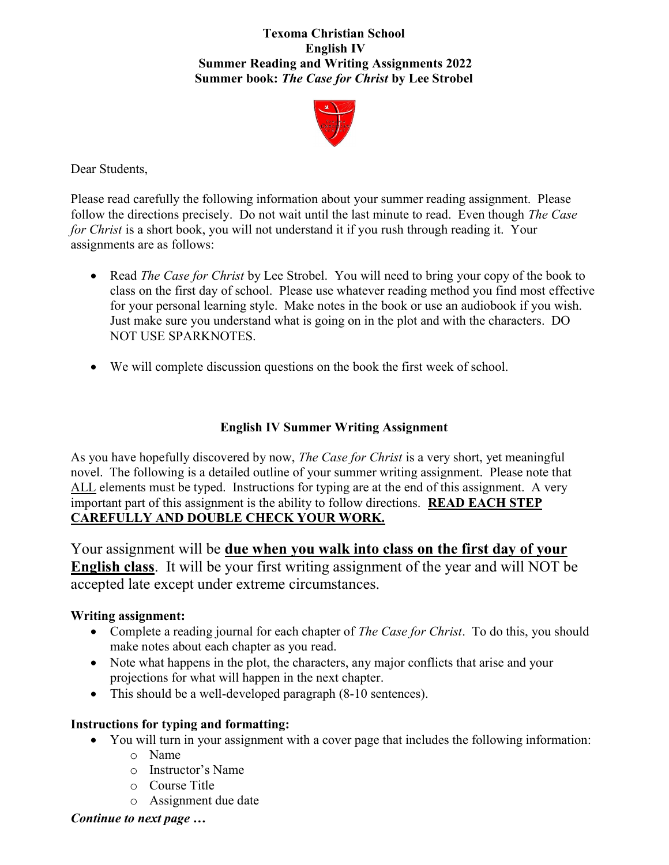## Texoma Christian School English IV Summer Reading and Writing Assignments **2022**  Summer book: The Case for Christ by Lee Strobel



Dear Students,

Please read carefully the following information about your summer reading assignment. Please follow the directions precisely. Do not wait until the last minute to read. Even though *The Case* for Christ is a short book, you will not understand it if you rush through reading it. Your assignments are as follows:

- Read *The Case for Christ* by Lee Strobel. You will need to bring your copy of the book to class on the first day of school. Please use whatever reading method you find most effective for your personal learning style. Make notes in the book or use an audiobook if you wish. Just make sure you understand what is going on in the plot and with the characters. DO NOT USE SPARKNOTES.
- We will complete discussion questions on the book the first week of school.

## English IV Summer Writing Assignment

As you have hopefully discovered by now, *The Case for Christ* is a very short, yet meaningful novel. The following is a detailed outline of your summer writing assignment. Please note that ALL elements must be typed. Instructions for typing are at the end of this assignment. A very important part of this assignment is the ability to follow directions. READ EACH STEP CAREFULLY AND DOUBLE CHECK YOUR WORK.

Your assignment will be due when you walk into class on the first day of your English class. It will be your first writing assignment of the year and will NOT be accepted late except under extreme circumstances.

## Writing assignment:

- Complete a reading journal for each chapter of *The Case for Christ*. To do this, you should make notes about each chapter as you read.
- Note what happens in the plot, the characters, any major conflicts that arise and your projections for what will happen in the next chapter.
- This should be a well-developed paragraph (8-10 sentences).

## Instructions for typing and formatting:

- You will turn in your assignment with a cover page that includes the following information:
	- o Name
	- o Instructor's Name
	- o Course Title
	- o Assignment due date

Continue to next page …